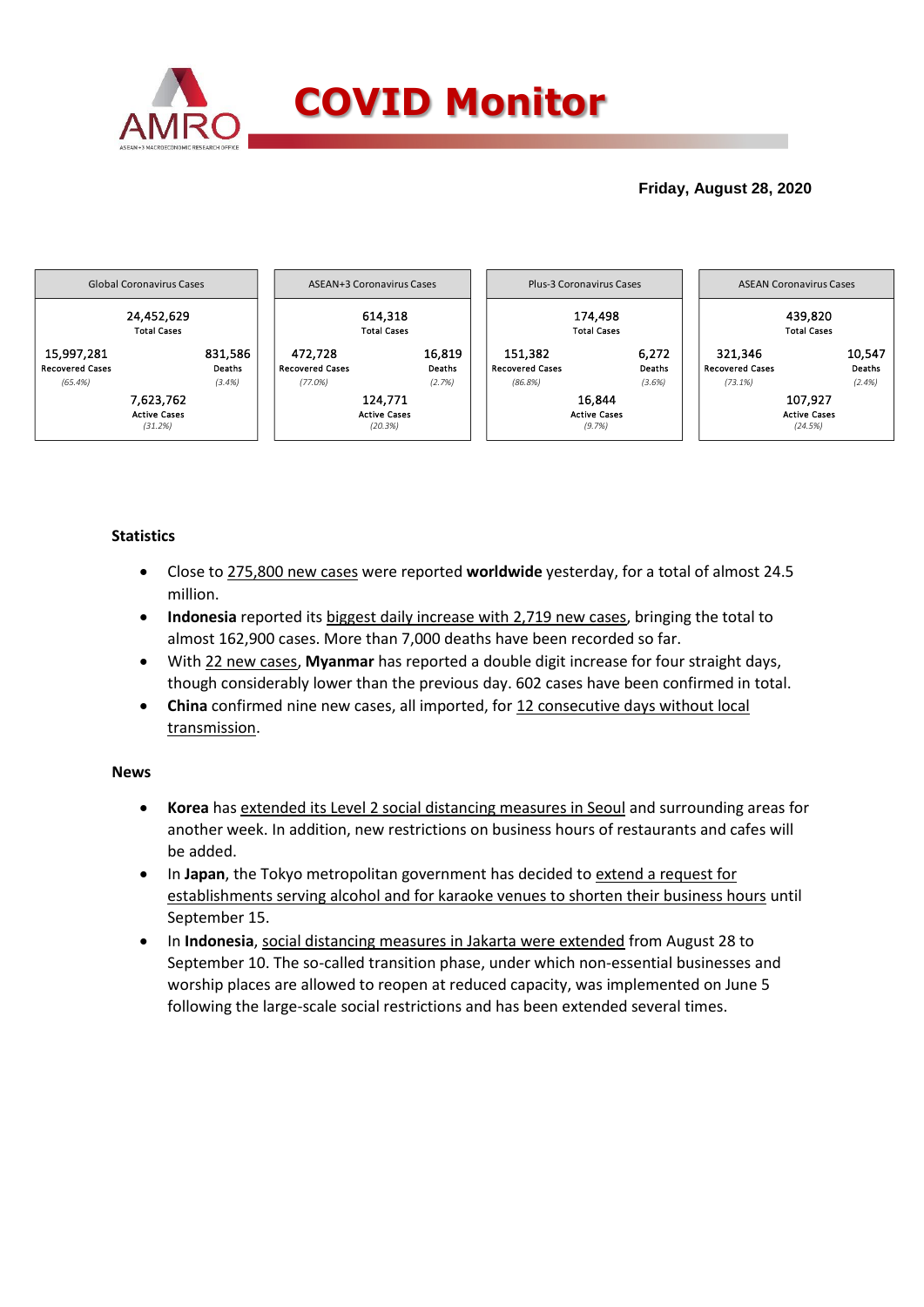

## **Friday, August 28, 2020**



## **Statistics**

- Close to 275,800 new cases were reported **worldwide** yesterday, for a total of almost 24.5 million.
- **Indonesia** reported its biggest daily increase with 2,719 new cases, bringing the total to almost 162,900 cases. More than 7,000 deaths have been recorded so far.
- With 22 new cases, **Myanmar** has reported a double digit increase for four straight days, though considerably lower than the previous day. 602 cases have been confirmed in total.
- **China** confirmed nine new cases, all imported, for 12 consecutive days without local transmission.

## **News**

- **Korea** has extended its Level 2 social distancing measures in Seoul and surrounding areas for another week. In addition, new restrictions on business hours of restaurants and cafes will be added.
- In **Japan**, the Tokyo metropolitan government has decided to extend a request for establishments serving alcohol and for karaoke venues to shorten their business hours until September 15.
- In **Indonesia**, social distancing measures in Jakarta were extended from August 28 to September 10. The so-called transition phase, under which non-essential businesses and worship places are allowed to reopen at reduced capacity, was implemented on June 5 following the large-scale social restrictions and has been extended several times.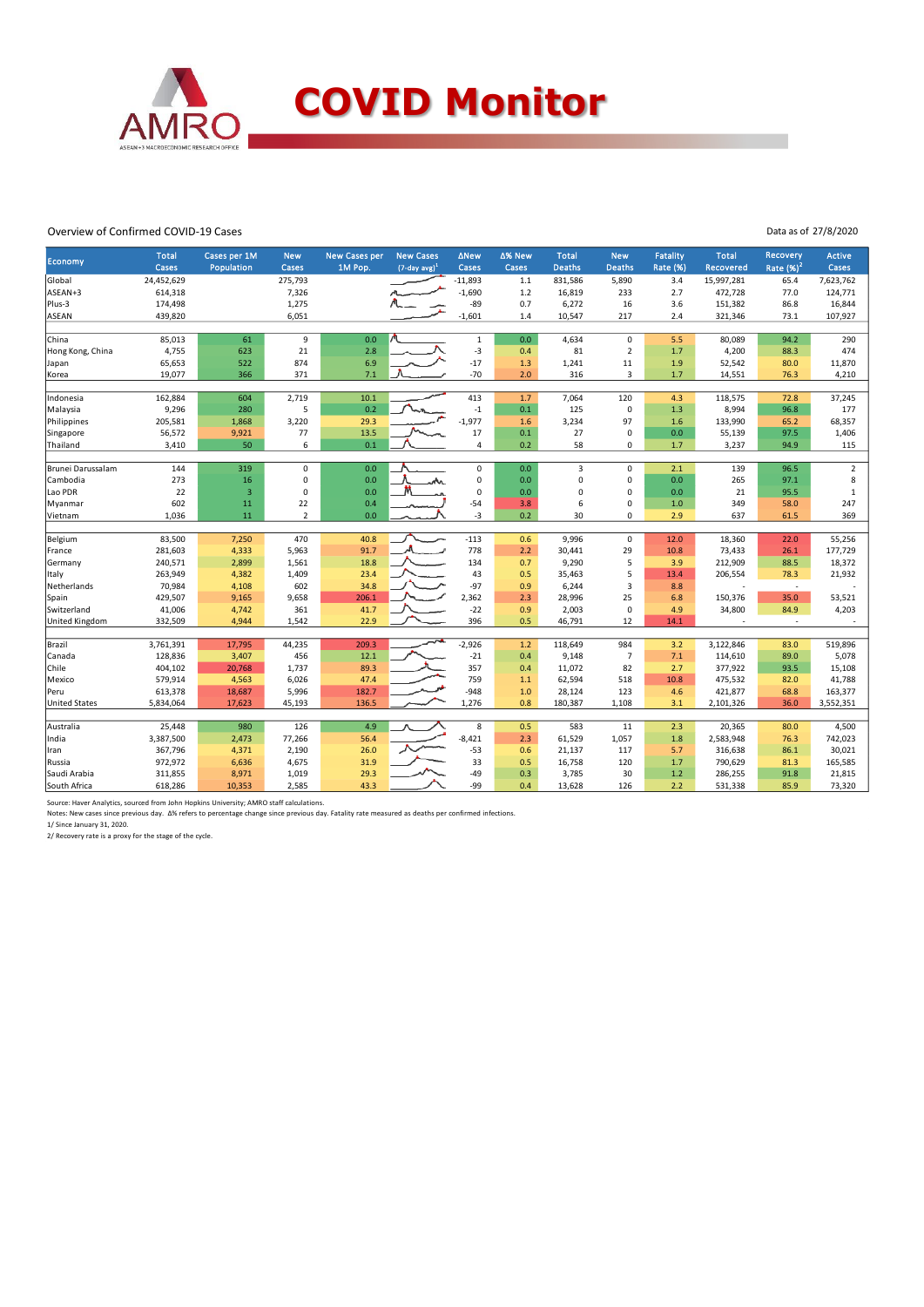

### Overview of Confirmed COVID-19 Cases

Data as of 27/8/2020

|                         | <b>Total</b>     | Cases per 1M            | <b>New</b>     | <b>New Cases per</b> | <b>New Cases</b>    | <b>ANew</b>      | ∆% New     | <b>Total</b>  | <b>New</b>              | <b>Fatality</b> | <b>Total</b>                       | <b>Recovery</b> | Active         |
|-------------------------|------------------|-------------------------|----------------|----------------------|---------------------|------------------|------------|---------------|-------------------------|-----------------|------------------------------------|-----------------|----------------|
| <b>Economy</b>          | Cases            | Population              | Cases          | 1M Pop.              | $(7$ -day avg $)^1$ | Cases            | Cases      | <b>Deaths</b> | <b>Deaths</b>           | <b>Rate (%)</b> | Recovered                          | Rate $(%)2$     | Cases          |
| Global                  | 24,452,629       |                         | 275,793        |                      |                     | $-11,893$        | $1.1$      | 831,586       | 5,890                   | 3.4             | 15,997,281                         | 65.4            | 7,623,762      |
| ASEAN+3                 | 614,318          |                         | 7,326          |                      |                     | $-1,690$         | $1.2$      | 16,819        | 233                     | 2.7             | 472,728                            | 77.0            | 124,771        |
| Plus-3                  | 174,498          |                         | 1,275          |                      |                     | $-89$            | 0.7        | 6,272         | 16                      | 3.6             | 151,382                            | 86.8            | 16,844         |
| ASEAN                   | 439,820          |                         | 6,051          |                      |                     | $-1,601$         | 1.4        | 10,547        | 217                     | 2.4             | 321,346                            | 73.1            | 107,927        |
|                         |                  |                         |                |                      |                     |                  |            |               |                         |                 |                                    |                 |                |
| China                   | 85,013           | 61                      | $9\,$          | 0.0                  |                     | $\mathbf{1}$     | 0.0        | 4,634         | $\mathsf 0$             | 5.5             | 80,089                             | 94.2            | 290            |
| Hong Kong, China        | 4,755            | 623                     | 21             | 2.8                  |                     | $-3$             | 0.4        | 81            | $\overline{2}$          | $1.7$           | 4,200                              | 88.3            | 474            |
| Japan                   | 65,653           | 522                     | 874            | 6.9                  |                     | $-17$            | 1.3        | 1,241         | 11                      | 1.9             | 52,542                             | 80.0            | 11,870         |
| Korea                   | 19,077           | 366                     | 371            | 7.1                  |                     | $-70$            | 2.0        | 316           | $\overline{3}$          | 1.7             | 14,551                             | 76.3            | 4,210          |
|                         |                  |                         |                |                      |                     |                  |            |               |                         |                 |                                    |                 |                |
| Indonesia               | 162,884          | 604                     | 2,719<br>5     | 10.1<br>0.2          |                     | 413              | 1.7        | 7,064         | 120                     | 4.3             | 118,575                            | 72.8            | 37,245         |
| Malaysia<br>Philippines | 9,296<br>205,581 | 280<br>1,868            | 3,220          | 29.3                 |                     | $-1$<br>$-1.977$ | 0.1<br>1.6 | 125<br>3,234  | $\mathbf 0$<br>97       | 1.3<br>1.6      | 8,994<br>133,990                   | 96.8<br>65.2    | 177<br>68,357  |
| Singapore               | 56,572           | 9,921                   | 77             | 13.5                 |                     | 17               | 0.1        | 27            | $\mathbf 0$             | 0.0             | 55,139                             | 97.5            | 1,406          |
| Thailand                | 3,410            | 50                      | 6              | 0.1                  |                     | $\overline{4}$   | 0.2        | 58            | $\mathbf 0$             | $1.7$           | 3,237                              | 94.9            | 115            |
|                         |                  |                         |                |                      |                     |                  |            |               |                         |                 |                                    |                 |                |
| Brunei Darussalam       | 144              | 319                     | $\mathbf 0$    | 0.0                  |                     | 0                | 0.0        | 3             | $\mathbf 0$             | 2.1             | 139                                | 96.5            | $\overline{2}$ |
| Cambodia                | 273              | 16                      | 0              | 0.0                  |                     | 0                | 0.0        | $\mathbf 0$   | $\mathbf 0$             | 0.0             | 265                                | 97.1            | 8              |
| Lao PDR                 | 22               | $\overline{\mathbf{3}}$ | $\pmb{0}$      | 0.0                  |                     | 0                | 0.0        | 0             | $\mathbf 0$             | 0.0             | 21                                 | 95.5            | $\mathbf{1}$   |
| Myanmar                 | 602              | 11                      | 22             | 0.4                  |                     | $-54$            | 3.8        | 6             | $\mathbf 0$             | $1.0$           | 349                                | 58.0            | 247            |
| Vietnam                 | 1,036            | 11                      | $\overline{2}$ | 0.0                  |                     | $-3$             | 0.2        | 30            | $\mathbf 0$             | 2.9             | 637                                | 61.5            | 369            |
|                         |                  |                         |                |                      |                     |                  |            |               |                         |                 |                                    |                 |                |
| Belgium                 | 83,500           | 7,250                   | 470            | 40.8                 |                     | $-113$           | 0.6        | 9,996         | $\mathbf 0$             | 12.0            | 18,360                             | 22.0            | 55,256         |
| France                  | 281,603          | 4,333                   | 5,963          | 91.7                 |                     | 778              | 2.2        | 30,441        | 29                      | 10.8            | 73,433                             | 26.1            | 177,729        |
| Germany                 | 240,571          | 2,899                   | 1,561          | 18.8                 |                     | 134              | 0.7        | 9,290         | 5                       | 3.9             | 212,909                            | 88.5            | 18,372         |
| Italy                   | 263,949          | 4,382                   | 1,409          | 23.4                 |                     | 43               | 0.5        | 35,463        | 5                       | 13.4            | 206,554                            | 78.3            | 21,932         |
| Netherlands             | 70,984           | 4,108                   | 602            | 34.8                 |                     | $-97$            | 0.9        | 6,244         | $\overline{\mathbf{3}}$ | 8.8             |                                    | $\sim$          |                |
| Spain                   | 429,507          | 9,165                   | 9,658          | 206.1                |                     | 2,362            | 2.3        | 28,996        | 25                      | 6.8             | 150,376                            | 35.0            | 53,521         |
| Switzerland             | 41,006           | 4,742                   | 361<br>1,542   | 41.7<br>22.9         |                     | $-22$<br>396     | 0.9<br>0.5 | 2,003         | $\mathbf 0$<br>12       | 4.9<br>14.1     | 34,800<br>$\overline{\phantom{a}}$ | 84.9<br>$\sim$  | 4,203          |
| <b>United Kingdom</b>   | 332,509          | 4,944                   |                |                      |                     |                  |            | 46,791        |                         |                 |                                    |                 |                |
| Brazil                  | 3,761,391        | 17,795                  | 44,235         | 209.3                |                     | $-2,926$         | $1.2$      | 118.649       | 984                     | 3.2             | 3.122.846                          | 83.0            | 519.896        |
| Canada                  | 128,836          | 3,407                   | 456            | 12.1                 |                     | $-21$            | 0.4        | 9,148         | $\overline{7}$          | 7.1             | 114,610                            | 89.0            | 5,078          |
| Chile                   | 404,102          | 20,768                  | 1,737          | 89.3                 |                     | 357              | 0.4        | 11,072        | 82                      | 2.7             | 377,922                            | 93.5            | 15,108         |
| Mexico                  | 579,914          | 4,563                   | 6,026          | 47.4                 |                     | 759              | 1.1        | 62,594        | 518                     | 10.8            | 475,532                            | 82.0            | 41,788         |
| Peru                    | 613,378          | 18,687                  | 5,996          | 182.7                |                     | $-948$           | 1.0        | 28,124        | 123                     | 4.6             | 421,877                            | 68.8            | 163,377        |
| <b>United States</b>    | 5,834,064        | 17,623                  | 45,193         | 136.5                |                     | 1,276            | 0.8        | 180,387       | 1,108                   | 3.1             | 2,101,326                          | 36.0            | 3,552,351      |
|                         |                  |                         |                |                      |                     |                  |            |               |                         |                 |                                    |                 |                |
| Australia               | 25,448           | 980                     | 126            | 4.9                  |                     | 8                | 0.5        | 583           | 11                      | 2.3             | 20,365                             | 80.0            | 4,500          |
| India                   | 3,387,500        | 2,473                   | 77,266         | 56.4                 |                     | $-8,421$         | 2.3        | 61,529        | 1,057                   | 1.8             | 2,583,948                          | 76.3            | 742,023        |
| Iran                    | 367,796          | 4,371                   | 2,190          | 26.0                 |                     | $-53$            | 0.6        | 21,137        | 117                     | 5.7             | 316,638                            | 86.1            | 30,021         |
| Russia                  | 972,972          | 6,636                   | 4,675          | 31.9                 |                     | 33               | 0.5        | 16,758        | 120                     | 1.7             | 790,629                            | 81.3            | 165,585        |
| Saudi Arabia            | 311,855          | 8,971                   | 1,019          | 29.3                 |                     | $-49$            | 0.3        | 3,785         | 30                      | $1.2$           | 286,255                            | 91.8            | 21,815         |
| South Africa            | 618,286          | 10,353                  | 2,585          | 43.3                 |                     | -99              | 0.4        | 13,628        | 126                     | 2.2             | 531,338                            | 85.9            | 73,320         |

Source: Haver Analytics, sourced from John Hopkins University; AMRO staff calculations.<br>Notes: New cases since previous day. ∆% refers to percentage change since previous day. Fatality rate measured as deaths per confirmed